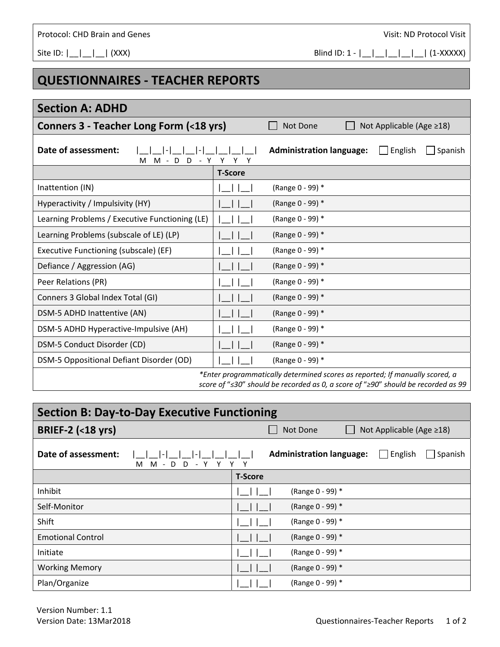## Protocol: CHD Brain and Genes *Protocol: CHD Brain and Genes* *Visit: ND Protocol Visit*

## **QUESTIONNAIRES ‐ TEACHER REPORTS**

| <b>Section A: ADHD</b>                                                          |                |                                 |  |                          |         |  |  |
|---------------------------------------------------------------------------------|----------------|---------------------------------|--|--------------------------|---------|--|--|
| Conners 3 - Teacher Long Form (<18 yrs)                                         |                | Not Done                        |  | Not Applicable (Age ≥18) |         |  |  |
| Date of assessment:<br>M - D D - Y Y Y Y<br>м                                   |                | <b>Administration language:</b> |  | English                  | Spanish |  |  |
|                                                                                 | <b>T-Score</b> |                                 |  |                          |         |  |  |
| Inattention (IN)                                                                |                | (Range 0 - 99) *                |  |                          |         |  |  |
| Hyperactivity / Impulsivity (HY)                                                |                | (Range 0 - 99) *                |  |                          |         |  |  |
| Learning Problems / Executive Functioning (LE)                                  |                | (Range 0 - 99) *                |  |                          |         |  |  |
| Learning Problems (subscale of LE) (LP)                                         |                | (Range 0 - 99) *                |  |                          |         |  |  |
| Executive Functioning (subscale) (EF)                                           |                | (Range 0 - 99) *                |  |                          |         |  |  |
| Defiance / Aggression (AG)                                                      |                | (Range 0 - 99) *                |  |                          |         |  |  |
| Peer Relations (PR)                                                             |                | (Range 0 - 99) *                |  |                          |         |  |  |
| Conners 3 Global Index Total (GI)                                               |                | (Range 0 - 99) *                |  |                          |         |  |  |
| DSM-5 ADHD Inattentive (AN)                                                     |                | (Range 0 - 99) *                |  |                          |         |  |  |
| DSM-5 ADHD Hyperactive-Impulsive (AH)                                           |                | (Range 0 - 99) *                |  |                          |         |  |  |
| DSM-5 Conduct Disorder (CD)                                                     |                | (Range 0 - 99) *                |  |                          |         |  |  |
| DSM-5 Oppositional Defiant Disorder (OD)                                        |                | (Range 0 - 99) *                |  |                          |         |  |  |
| $*$ Fater programmatically determined scores as reported: If manually scored at |                |                                 |  |                          |         |  |  |

*\*Enter programmatically determined scores as reported; If manually scored, a score of* "*≤30*" *should be recorded as 0, a score of* "*≥90*" *should be recorded as 99* 

| <b>Section B: Day-to-Day Executive Functioning</b>    |                                                              |  |  |  |  |
|-------------------------------------------------------|--------------------------------------------------------------|--|--|--|--|
| <b>BRIEF-2 (&lt;18 yrs)</b>                           | Not Applicable (Age ≥18)<br>Not Done                         |  |  |  |  |
| Date of assessment:<br>м<br>M - D<br>D<br>Y<br>$\sim$ | <b>Administration language:</b><br>$\Box$ English<br>Spanish |  |  |  |  |
|                                                       | <b>T-Score</b>                                               |  |  |  |  |
| Inhibit                                               | (Range 0 - 99) *                                             |  |  |  |  |
| Self-Monitor                                          | (Range 0 - 99) *                                             |  |  |  |  |
| Shift                                                 | (Range 0 - 99) *                                             |  |  |  |  |
| <b>Emotional Control</b>                              | (Range 0 - 99) *                                             |  |  |  |  |
| Initiate                                              | (Range 0 - 99) *                                             |  |  |  |  |
| <b>Working Memory</b>                                 | (Range 0 - 99) *                                             |  |  |  |  |
| Plan/Organize                                         | (Range 0 - 99) *                                             |  |  |  |  |

Site ID:  $| \_\_| \_\_|$  (XXX) Blind ID: 1 -  $| \_\_| \_\_|$  (1-XXXXX)